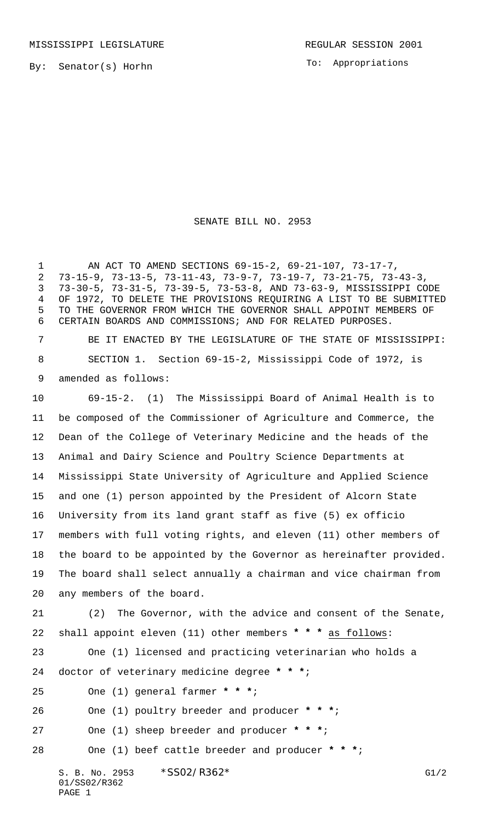By: Senator(s) Horhn

To: Appropriations

## SENATE BILL NO. 2953

 AN ACT TO AMEND SECTIONS 69-15-2, 69-21-107, 73-17-7, 73-15-9, 73-13-5, 73-11-43, 73-9-7, 73-19-7, 73-21-75, 73-43-3, 73-30-5, 73-31-5, 73-39-5, 73-53-8, AND 73-63-9, MISSISSIPPI CODE OF 1972, TO DELETE THE PROVISIONS REQUIRING A LIST TO BE SUBMITTED TO THE GOVERNOR FROM WHICH THE GOVERNOR SHALL APPOINT MEMBERS OF CERTAIN BOARDS AND COMMISSIONS; AND FOR RELATED PURPOSES. BE IT ENACTED BY THE LEGISLATURE OF THE STATE OF MISSISSIPPI: SECTION 1. Section 69-15-2, Mississippi Code of 1972, is amended as follows: 69-15-2. (1) The Mississippi Board of Animal Health is to be composed of the Commissioner of Agriculture and Commerce, the

 Dean of the College of Veterinary Medicine and the heads of the Animal and Dairy Science and Poultry Science Departments at Mississippi State University of Agriculture and Applied Science and one (1) person appointed by the President of Alcorn State University from its land grant staff as five (5) ex officio members with full voting rights, and eleven (11) other members of the board to be appointed by the Governor as hereinafter provided. The board shall select annually a chairman and vice chairman from any members of the board.

 (2) The Governor, with the advice and consent of the Senate, shall appoint eleven (11) other members **\* \* \*** as follows:

 One (1) licensed and practicing veterinarian who holds a doctor of veterinary medicine degree **\* \* \***;

One (1) general farmer **\* \* \***;

One (1) poultry breeder and producer **\* \* \***;

One (1) sheep breeder and producer **\* \* \***;

One (1) beef cattle breeder and producer **\* \* \***;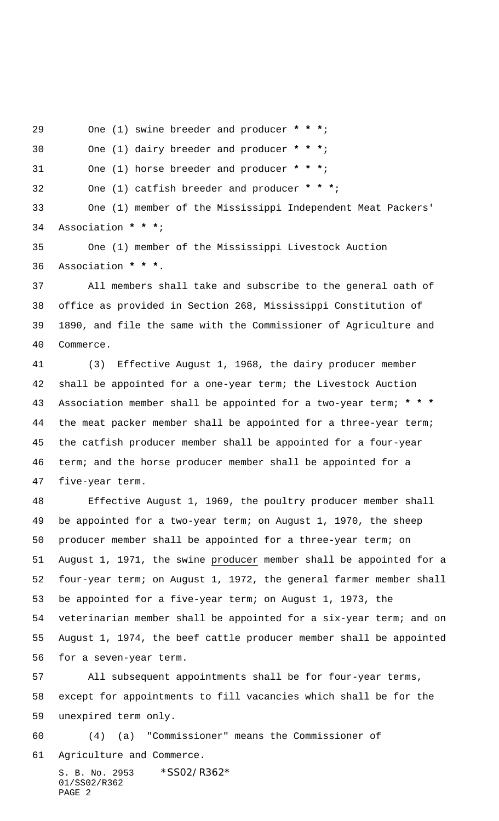One (1) swine breeder and producer **\* \* \***; One (1) dairy breeder and producer **\* \* \***; One (1) horse breeder and producer **\* \* \***; One (1) catfish breeder and producer **\* \* \***; One (1) member of the Mississippi Independent Meat Packers' Association **\* \* \***; One (1) member of the Mississippi Livestock Auction Association **\* \* \***. All members shall take and subscribe to the general oath of office as provided in Section 268, Mississippi Constitution of 1890, and file the same with the Commissioner of Agriculture and Commerce. (3) Effective August 1, 1968, the dairy producer member shall be appointed for a one-year term; the Livestock Auction Association member shall be appointed for a two-year term; **\* \* \*** 44 the meat packer member shall be appointed for a three-year term; the catfish producer member shall be appointed for a four-year term; and the horse producer member shall be appointed for a

five-year term.

 Effective August 1, 1969, the poultry producer member shall be appointed for a two-year term; on August 1, 1970, the sheep producer member shall be appointed for a three-year term; on August 1, 1971, the swine producer member shall be appointed for a four-year term; on August 1, 1972, the general farmer member shall be appointed for a five-year term; on August 1, 1973, the veterinarian member shall be appointed for a six-year term; and on August 1, 1974, the beef cattle producer member shall be appointed for a seven-year term.

 All subsequent appointments shall be for four-year terms, except for appointments to fill vacancies which shall be for the unexpired term only.

(4) (a) "Commissioner" means the Commissioner of

Agriculture and Commerce.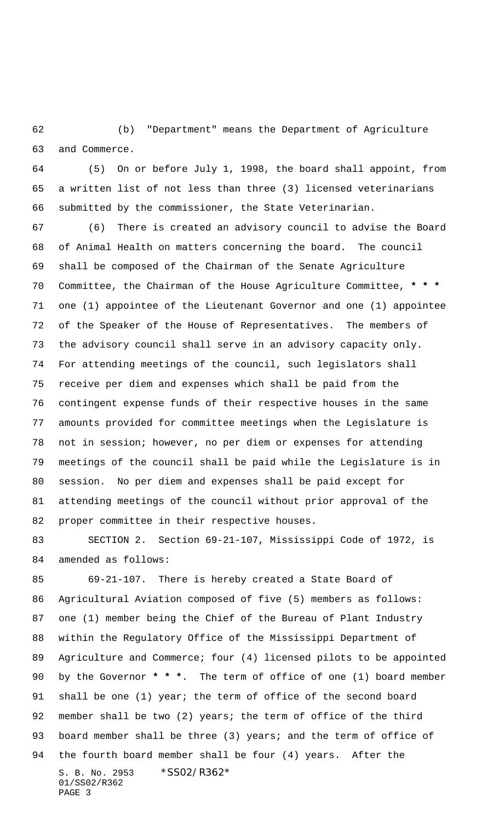(b) "Department" means the Department of Agriculture and Commerce.

 (5) On or before July 1, 1998, the board shall appoint, from a written list of not less than three (3) licensed veterinarians submitted by the commissioner, the State Veterinarian.

 (6) There is created an advisory council to advise the Board of Animal Health on matters concerning the board. The council shall be composed of the Chairman of the Senate Agriculture Committee, the Chairman of the House Agriculture Committee, **\* \* \*** one (1) appointee of the Lieutenant Governor and one (1) appointee of the Speaker of the House of Representatives. The members of the advisory council shall serve in an advisory capacity only. For attending meetings of the council, such legislators shall receive per diem and expenses which shall be paid from the contingent expense funds of their respective houses in the same amounts provided for committee meetings when the Legislature is not in session; however, no per diem or expenses for attending meetings of the council shall be paid while the Legislature is in session. No per diem and expenses shall be paid except for attending meetings of the council without prior approval of the proper committee in their respective houses.

 SECTION 2. Section 69-21-107, Mississippi Code of 1972, is amended as follows:

S. B. No. 2953 \*SS02/R362\* 01/SS02/R362 PAGE 3 69-21-107. There is hereby created a State Board of Agricultural Aviation composed of five (5) members as follows: one (1) member being the Chief of the Bureau of Plant Industry within the Regulatory Office of the Mississippi Department of Agriculture and Commerce; four (4) licensed pilots to be appointed by the Governor **\* \* \***. The term of office of one (1) board member shall be one (1) year; the term of office of the second board member shall be two (2) years; the term of office of the third 93 board member shall be three (3) years; and the term of office of the fourth board member shall be four (4) years. After the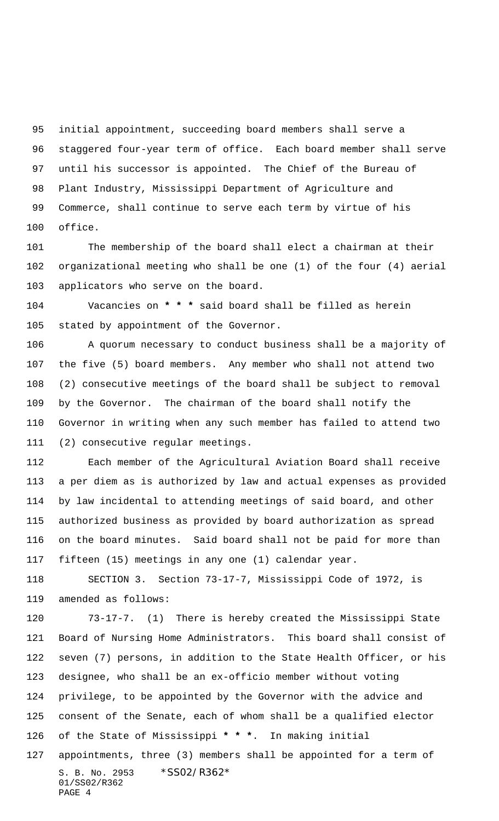initial appointment, succeeding board members shall serve a staggered four-year term of office. Each board member shall serve until his successor is appointed. The Chief of the Bureau of Plant Industry, Mississippi Department of Agriculture and Commerce, shall continue to serve each term by virtue of his office.

 The membership of the board shall elect a chairman at their organizational meeting who shall be one (1) of the four (4) aerial applicators who serve on the board.

 Vacancies on **\* \* \*** said board shall be filled as herein stated by appointment of the Governor.

 A quorum necessary to conduct business shall be a majority of the five (5) board members. Any member who shall not attend two (2) consecutive meetings of the board shall be subject to removal by the Governor. The chairman of the board shall notify the Governor in writing when any such member has failed to attend two (2) consecutive regular meetings.

 Each member of the Agricultural Aviation Board shall receive a per diem as is authorized by law and actual expenses as provided by law incidental to attending meetings of said board, and other authorized business as provided by board authorization as spread on the board minutes. Said board shall not be paid for more than fifteen (15) meetings in any one (1) calendar year.

 SECTION 3. Section 73-17-7, Mississippi Code of 1972, is amended as follows:

S. B. No. 2953 \*SS02/R362\* 01/SS02/R362 73-17-7. (1) There is hereby created the Mississippi State Board of Nursing Home Administrators. This board shall consist of seven (7) persons, in addition to the State Health Officer, or his designee, who shall be an ex-officio member without voting privilege, to be appointed by the Governor with the advice and consent of the Senate, each of whom shall be a qualified elector of the State of Mississippi **\* \* \***. In making initial appointments, three (3) members shall be appointed for a term of

```
PAGE 4
```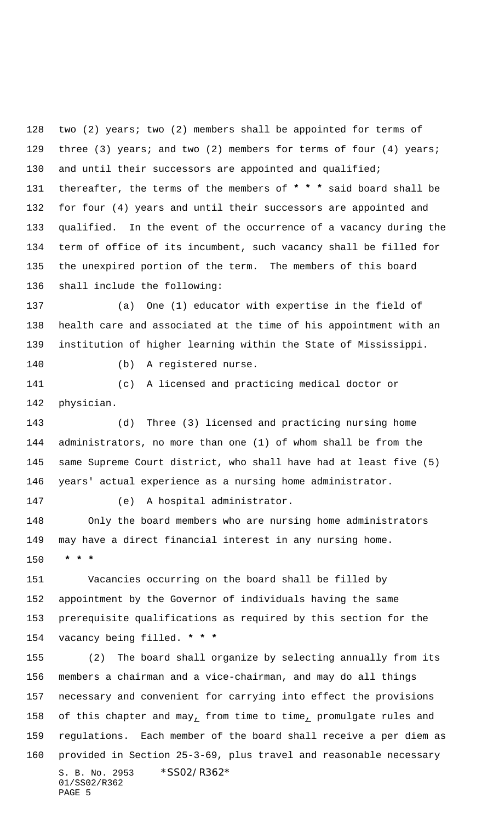two (2) years; two (2) members shall be appointed for terms of 129 three (3) years; and two (2) members for terms of four (4) years; and until their successors are appointed and qualified; thereafter, the terms of the members of **\* \* \*** said board shall be for four (4) years and until their successors are appointed and qualified. In the event of the occurrence of a vacancy during the term of office of its incumbent, such vacancy shall be filled for the unexpired portion of the term. The members of this board shall include the following:

 (a) One (1) educator with expertise in the field of health care and associated at the time of his appointment with an institution of higher learning within the State of Mississippi.

(b) A registered nurse.

 (c) A licensed and practicing medical doctor or physician.

 (d) Three (3) licensed and practicing nursing home administrators, no more than one (1) of whom shall be from the same Supreme Court district, who shall have had at least five (5) years' actual experience as a nursing home administrator.

(e) A hospital administrator.

 Only the board members who are nursing home administrators may have a direct financial interest in any nursing home.  **\* \* \***

 Vacancies occurring on the board shall be filled by appointment by the Governor of individuals having the same prerequisite qualifications as required by this section for the vacancy being filled. **\* \* \***

S. B. No. 2953 \*SS02/R362\* 01/SS02/R362 PAGE 5 (2) The board shall organize by selecting annually from its members a chairman and a vice-chairman, and may do all things necessary and convenient for carrying into effect the provisions of this chapter and may, from time to time, promulgate rules and regulations. Each member of the board shall receive a per diem as provided in Section 25-3-69, plus travel and reasonable necessary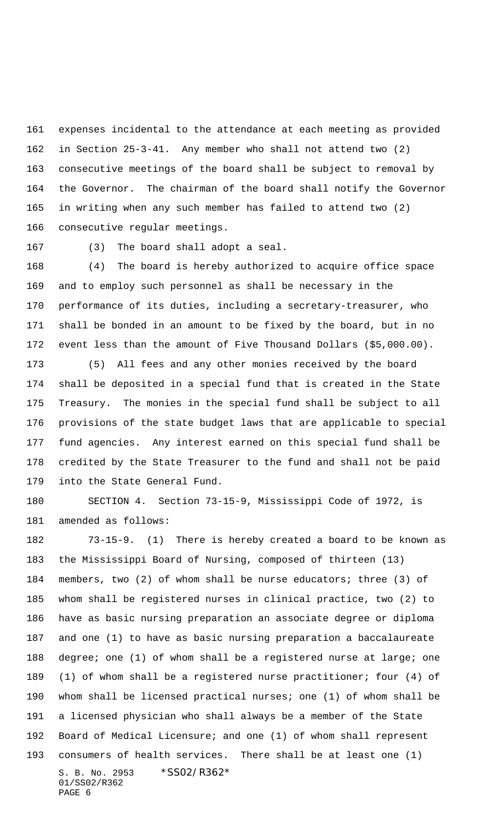expenses incidental to the attendance at each meeting as provided in Section 25-3-41. Any member who shall not attend two (2) consecutive meetings of the board shall be subject to removal by the Governor. The chairman of the board shall notify the Governor in writing when any such member has failed to attend two (2) consecutive regular meetings.

(3) The board shall adopt a seal.

 (4) The board is hereby authorized to acquire office space and to employ such personnel as shall be necessary in the performance of its duties, including a secretary-treasurer, who shall be bonded in an amount to be fixed by the board, but in no event less than the amount of Five Thousand Dollars (\$5,000.00).

 (5) All fees and any other monies received by the board shall be deposited in a special fund that is created in the State Treasury. The monies in the special fund shall be subject to all provisions of the state budget laws that are applicable to special fund agencies. Any interest earned on this special fund shall be credited by the State Treasurer to the fund and shall not be paid into the State General Fund.

 SECTION 4. Section 73-15-9, Mississippi Code of 1972, is amended as follows:

S. B. No. 2953 \*SS02/R362\* 01/SS02/R362 PAGE 6 73-15-9. (1) There is hereby created a board to be known as the Mississippi Board of Nursing, composed of thirteen (13) members, two (2) of whom shall be nurse educators; three (3) of whom shall be registered nurses in clinical practice, two (2) to have as basic nursing preparation an associate degree or diploma and one (1) to have as basic nursing preparation a baccalaureate 188 degree; one (1) of whom shall be a registered nurse at large; one (1) of whom shall be a registered nurse practitioner; four (4) of whom shall be licensed practical nurses; one (1) of whom shall be a licensed physician who shall always be a member of the State Board of Medical Licensure; and one (1) of whom shall represent consumers of health services. There shall be at least one (1)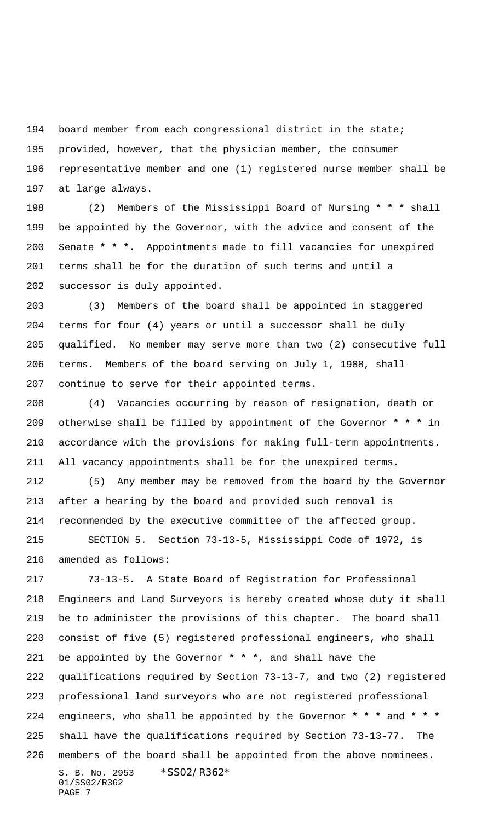board member from each congressional district in the state; provided, however, that the physician member, the consumer representative member and one (1) registered nurse member shall be at large always.

 (2) Members of the Mississippi Board of Nursing **\* \* \*** shall be appointed by the Governor, with the advice and consent of the Senate **\* \* \***. Appointments made to fill vacancies for unexpired terms shall be for the duration of such terms and until a successor is duly appointed.

 (3) Members of the board shall be appointed in staggered terms for four (4) years or until a successor shall be duly qualified. No member may serve more than two (2) consecutive full terms. Members of the board serving on July 1, 1988, shall continue to serve for their appointed terms.

 (4) Vacancies occurring by reason of resignation, death or otherwise shall be filled by appointment of the Governor **\* \* \*** in accordance with the provisions for making full-term appointments. All vacancy appointments shall be for the unexpired terms.

 (5) Any member may be removed from the board by the Governor after a hearing by the board and provided such removal is recommended by the executive committee of the affected group.

 SECTION 5. Section 73-13-5, Mississippi Code of 1972, is amended as follows:

S. B. No. 2953 \*SS02/R362\* 01/SS02/R362 73-13-5. A State Board of Registration for Professional Engineers and Land Surveyors is hereby created whose duty it shall be to administer the provisions of this chapter. The board shall consist of five (5) registered professional engineers, who shall be appointed by the Governor **\* \* \***, and shall have the qualifications required by Section 73-13-7, and two (2) registered professional land surveyors who are not registered professional engineers, who shall be appointed by the Governor **\* \* \*** and **\* \* \*** shall have the qualifications required by Section 73-13-77. The members of the board shall be appointed from the above nominees.

PAGE 7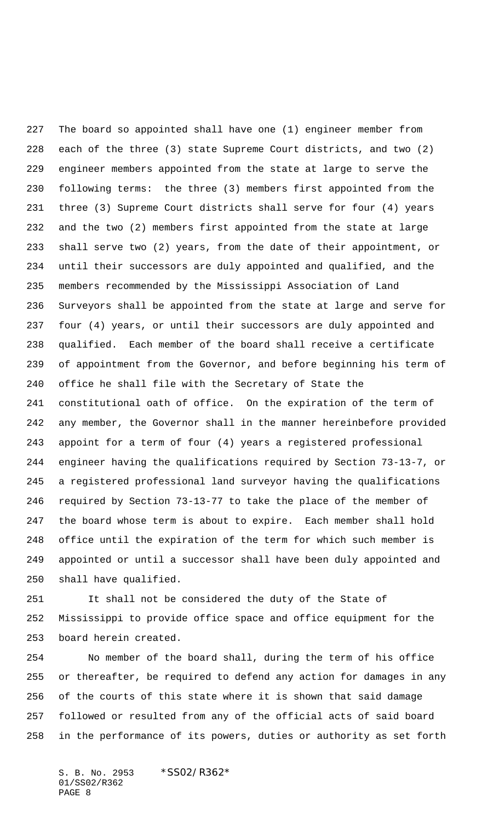The board so appointed shall have one (1) engineer member from each of the three (3) state Supreme Court districts, and two (2) engineer members appointed from the state at large to serve the following terms: the three (3) members first appointed from the three (3) Supreme Court districts shall serve for four (4) years and the two (2) members first appointed from the state at large shall serve two (2) years, from the date of their appointment, or until their successors are duly appointed and qualified, and the members recommended by the Mississippi Association of Land Surveyors shall be appointed from the state at large and serve for four (4) years, or until their successors are duly appointed and qualified. Each member of the board shall receive a certificate of appointment from the Governor, and before beginning his term of office he shall file with the Secretary of State the constitutional oath of office. On the expiration of the term of any member, the Governor shall in the manner hereinbefore provided appoint for a term of four (4) years a registered professional engineer having the qualifications required by Section 73-13-7, or a registered professional land surveyor having the qualifications required by Section 73-13-77 to take the place of the member of the board whose term is about to expire. Each member shall hold office until the expiration of the term for which such member is appointed or until a successor shall have been duly appointed and shall have qualified.

 It shall not be considered the duty of the State of Mississippi to provide office space and office equipment for the board herein created.

 No member of the board shall, during the term of his office or thereafter, be required to defend any action for damages in any of the courts of this state where it is shown that said damage followed or resulted from any of the official acts of said board in the performance of its powers, duties or authority as set forth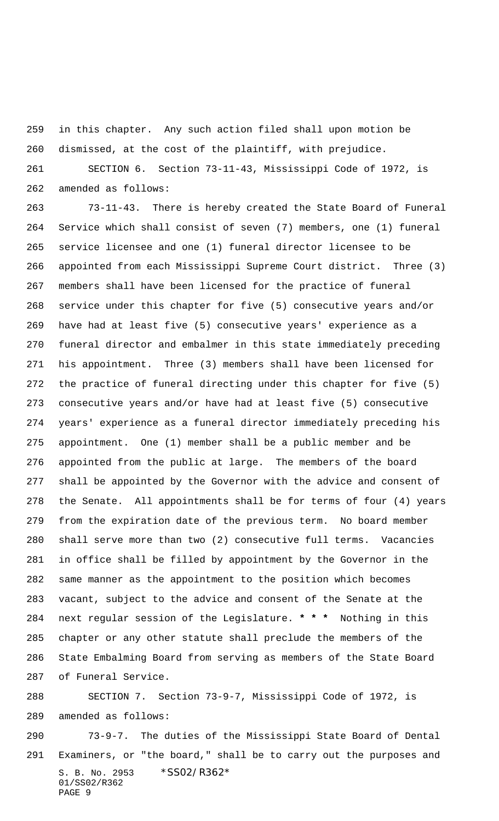in this chapter. Any such action filed shall upon motion be dismissed, at the cost of the plaintiff, with prejudice.

 SECTION 6. Section 73-11-43, Mississippi Code of 1972, is amended as follows:

 73-11-43. There is hereby created the State Board of Funeral Service which shall consist of seven (7) members, one (1) funeral service licensee and one (1) funeral director licensee to be appointed from each Mississippi Supreme Court district. Three (3) members shall have been licensed for the practice of funeral service under this chapter for five (5) consecutive years and/or have had at least five (5) consecutive years' experience as a funeral director and embalmer in this state immediately preceding his appointment. Three (3) members shall have been licensed for the practice of funeral directing under this chapter for five (5) consecutive years and/or have had at least five (5) consecutive years' experience as a funeral director immediately preceding his appointment. One (1) member shall be a public member and be appointed from the public at large. The members of the board shall be appointed by the Governor with the advice and consent of the Senate. All appointments shall be for terms of four (4) years from the expiration date of the previous term. No board member shall serve more than two (2) consecutive full terms. Vacancies in office shall be filled by appointment by the Governor in the same manner as the appointment to the position which becomes vacant, subject to the advice and consent of the Senate at the next regular session of the Legislature. **\* \* \*** Nothing in this chapter or any other statute shall preclude the members of the State Embalming Board from serving as members of the State Board of Funeral Service.

 SECTION 7. Section 73-9-7, Mississippi Code of 1972, is amended as follows:

S. B. No. 2953 \*SS02/R362\* 01/SS02/R362 PAGE 9 73-9-7. The duties of the Mississippi State Board of Dental Examiners, or "the board," shall be to carry out the purposes and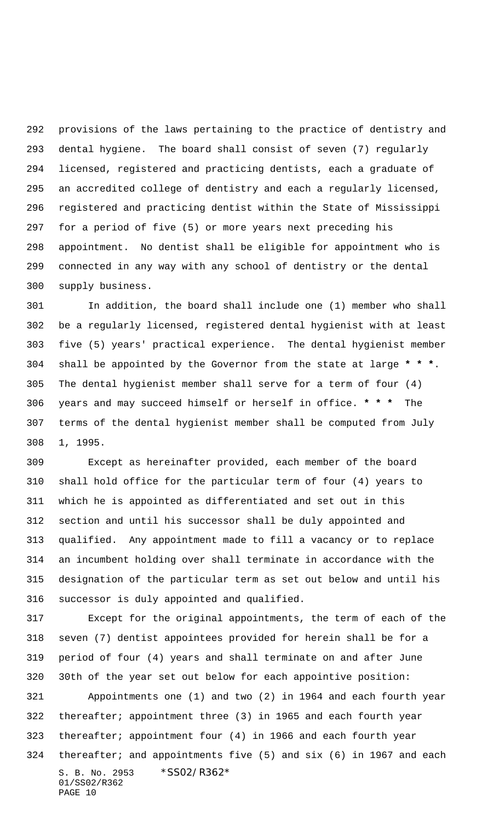provisions of the laws pertaining to the practice of dentistry and dental hygiene. The board shall consist of seven (7) regularly licensed, registered and practicing dentists, each a graduate of an accredited college of dentistry and each a regularly licensed, registered and practicing dentist within the State of Mississippi for a period of five (5) or more years next preceding his appointment. No dentist shall be eligible for appointment who is connected in any way with any school of dentistry or the dental supply business.

 In addition, the board shall include one (1) member who shall be a regularly licensed, registered dental hygienist with at least five (5) years' practical experience. The dental hygienist member shall be appointed by the Governor from the state at large **\* \* \***. The dental hygienist member shall serve for a term of four (4) years and may succeed himself or herself in office. **\* \* \*** The terms of the dental hygienist member shall be computed from July 1, 1995.

 Except as hereinafter provided, each member of the board shall hold office for the particular term of four (4) years to which he is appointed as differentiated and set out in this section and until his successor shall be duly appointed and qualified. Any appointment made to fill a vacancy or to replace an incumbent holding over shall terminate in accordance with the designation of the particular term as set out below and until his successor is duly appointed and qualified.

S. B. No. 2953 \*SS02/R362\* 01/SS02/R362 PAGE 10 Except for the original appointments, the term of each of the seven (7) dentist appointees provided for herein shall be for a period of four (4) years and shall terminate on and after June 30th of the year set out below for each appointive position: Appointments one (1) and two (2) in 1964 and each fourth year thereafter; appointment three (3) in 1965 and each fourth year thereafter; appointment four (4) in 1966 and each fourth year thereafter; and appointments five (5) and six (6) in 1967 and each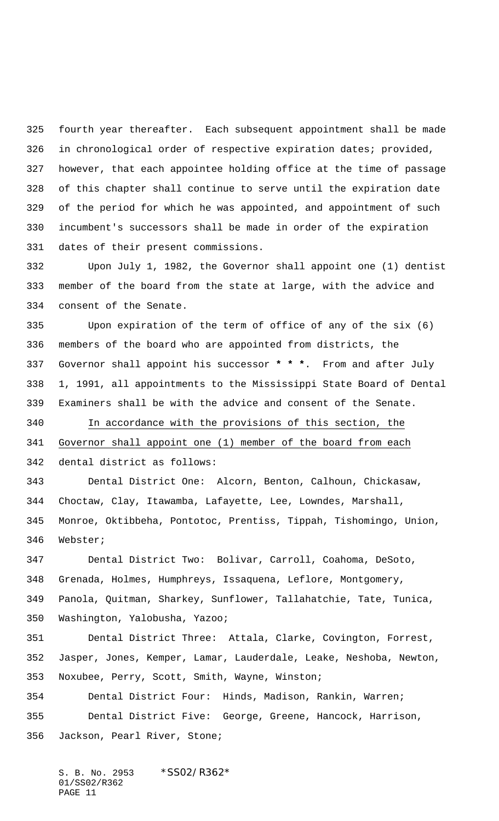fourth year thereafter. Each subsequent appointment shall be made 326 in chronological order of respective expiration dates; provided, however, that each appointee holding office at the time of passage of this chapter shall continue to serve until the expiration date of the period for which he was appointed, and appointment of such incumbent's successors shall be made in order of the expiration dates of their present commissions.

 Upon July 1, 1982, the Governor shall appoint one (1) dentist member of the board from the state at large, with the advice and consent of the Senate.

 Upon expiration of the term of office of any of the six (6) members of the board who are appointed from districts, the Governor shall appoint his successor **\* \* \***. From and after July 1, 1991, all appointments to the Mississippi State Board of Dental Examiners shall be with the advice and consent of the Senate.

 In accordance with the provisions of this section, the Governor shall appoint one (1) member of the board from each dental district as follows:

 Dental District One: Alcorn, Benton, Calhoun, Chickasaw, Choctaw, Clay, Itawamba, Lafayette, Lee, Lowndes, Marshall, Monroe, Oktibbeha, Pontotoc, Prentiss, Tippah, Tishomingo, Union, Webster;

 Dental District Two: Bolivar, Carroll, Coahoma, DeSoto, Grenada, Holmes, Humphreys, Issaquena, Leflore, Montgomery, Panola, Quitman, Sharkey, Sunflower, Tallahatchie, Tate, Tunica, Washington, Yalobusha, Yazoo;

 Dental District Three: Attala, Clarke, Covington, Forrest, Jasper, Jones, Kemper, Lamar, Lauderdale, Leake, Neshoba, Newton, Noxubee, Perry, Scott, Smith, Wayne, Winston;

 Dental District Four: Hinds, Madison, Rankin, Warren; Dental District Five: George, Greene, Hancock, Harrison, Jackson, Pearl River, Stone;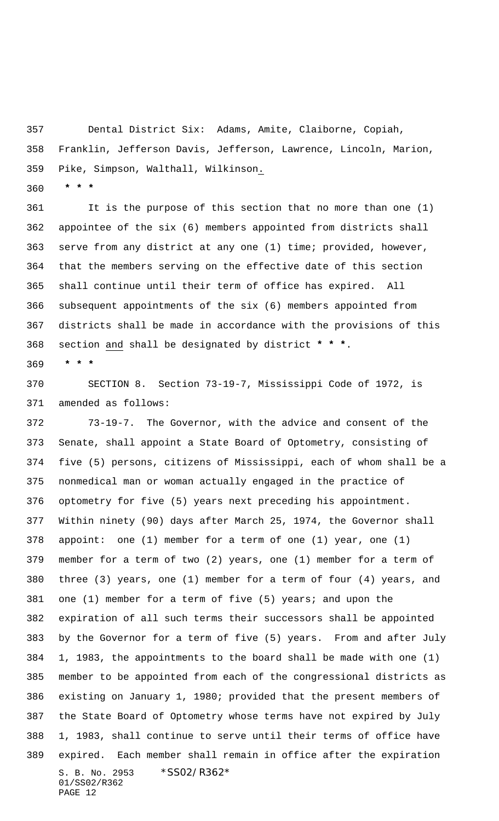Dental District Six: Adams, Amite, Claiborne, Copiah, Franklin, Jefferson Davis, Jefferson, Lawrence, Lincoln, Marion, Pike, Simpson, Walthall, Wilkinson.

 **\* \* \***

 It is the purpose of this section that no more than one (1) appointee of the six (6) members appointed from districts shall serve from any district at any one (1) time; provided, however, that the members serving on the effective date of this section shall continue until their term of office has expired. All subsequent appointments of the six (6) members appointed from districts shall be made in accordance with the provisions of this section and shall be designated by district **\* \* \***.

 **\* \* \***

 SECTION 8. Section 73-19-7, Mississippi Code of 1972, is amended as follows:

S. B. No. 2953 \*SS02/R362\* 01/SS02/R362 73-19-7. The Governor, with the advice and consent of the Senate, shall appoint a State Board of Optometry, consisting of five (5) persons, citizens of Mississippi, each of whom shall be a nonmedical man or woman actually engaged in the practice of optometry for five (5) years next preceding his appointment. Within ninety (90) days after March 25, 1974, the Governor shall appoint: one (1) member for a term of one (1) year, one (1) member for a term of two (2) years, one (1) member for a term of three (3) years, one (1) member for a term of four (4) years, and one (1) member for a term of five (5) years; and upon the expiration of all such terms their successors shall be appointed by the Governor for a term of five (5) years. From and after July 1, 1983, the appointments to the board shall be made with one (1) member to be appointed from each of the congressional districts as existing on January 1, 1980; provided that the present members of the State Board of Optometry whose terms have not expired by July 1, 1983, shall continue to serve until their terms of office have expired. Each member shall remain in office after the expiration

PAGE 12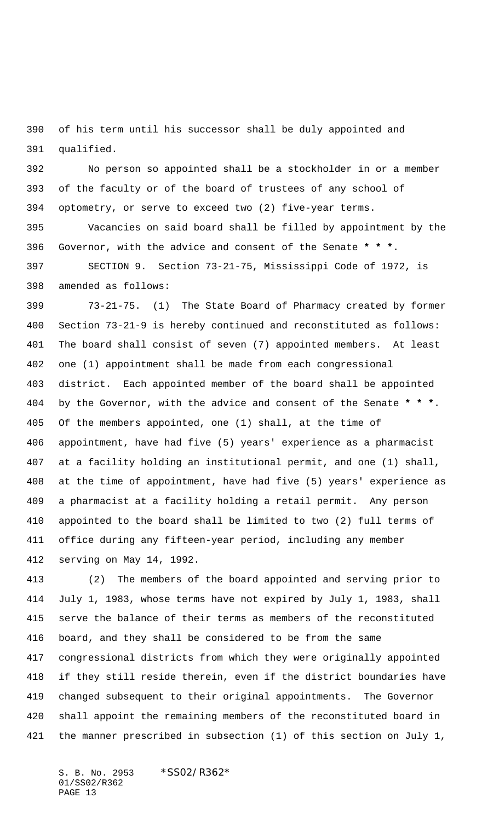of his term until his successor shall be duly appointed and qualified.

 No person so appointed shall be a stockholder in or a member of the faculty or of the board of trustees of any school of optometry, or serve to exceed two (2) five-year terms.

 Vacancies on said board shall be filled by appointment by the Governor, with the advice and consent of the Senate **\* \* \***.

 SECTION 9. Section 73-21-75, Mississippi Code of 1972, is amended as follows:

 73-21-75. (1) The State Board of Pharmacy created by former Section 73-21-9 is hereby continued and reconstituted as follows: The board shall consist of seven (7) appointed members. At least one (1) appointment shall be made from each congressional district. Each appointed member of the board shall be appointed by the Governor, with the advice and consent of the Senate **\* \* \***. Of the members appointed, one (1) shall, at the time of appointment, have had five (5) years' experience as a pharmacist at a facility holding an institutional permit, and one (1) shall, at the time of appointment, have had five (5) years' experience as a pharmacist at a facility holding a retail permit. Any person appointed to the board shall be limited to two (2) full terms of office during any fifteen-year period, including any member serving on May 14, 1992.

 (2) The members of the board appointed and serving prior to July 1, 1983, whose terms have not expired by July 1, 1983, shall serve the balance of their terms as members of the reconstituted board, and they shall be considered to be from the same congressional districts from which they were originally appointed if they still reside therein, even if the district boundaries have changed subsequent to their original appointments. The Governor shall appoint the remaining members of the reconstituted board in the manner prescribed in subsection (1) of this section on July 1,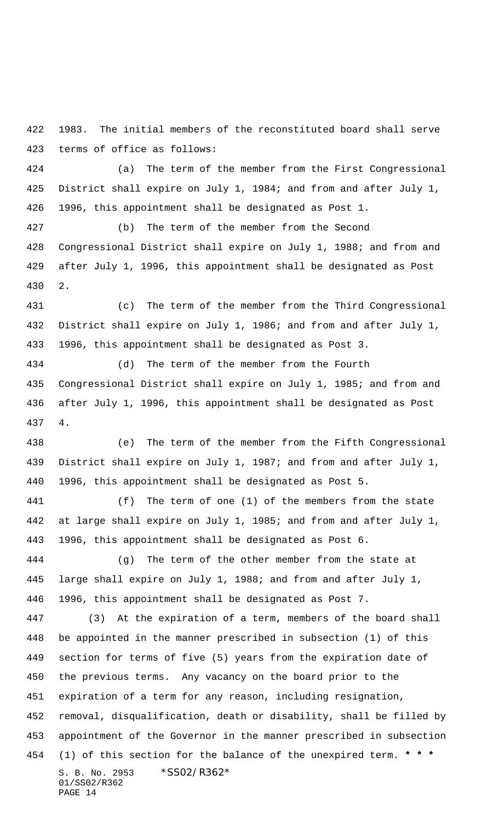1983. The initial members of the reconstituted board shall serve terms of office as follows:

 (a) The term of the member from the First Congressional District shall expire on July 1, 1984; and from and after July 1, 1996, this appointment shall be designated as Post 1.

 (b) The term of the member from the Second Congressional District shall expire on July 1, 1988; and from and after July 1, 1996, this appointment shall be designated as Post 2.

 (c) The term of the member from the Third Congressional District shall expire on July 1, 1986; and from and after July 1, 1996, this appointment shall be designated as Post 3.

 (d) The term of the member from the Fourth Congressional District shall expire on July 1, 1985; and from and after July 1, 1996, this appointment shall be designated as Post 4.

 (e) The term of the member from the Fifth Congressional District shall expire on July 1, 1987; and from and after July 1, 1996, this appointment shall be designated as Post 5.

 (f) The term of one (1) of the members from the state at large shall expire on July 1, 1985; and from and after July 1, 1996, this appointment shall be designated as Post 6.

 (g) The term of the other member from the state at large shall expire on July 1, 1988; and from and after July 1, 1996, this appointment shall be designated as Post 7.

S. B. No. 2953 \*SS02/R362\* 01/SS02/R362 PAGE 14 (3) At the expiration of a term, members of the board shall be appointed in the manner prescribed in subsection (1) of this section for terms of five (5) years from the expiration date of the previous terms. Any vacancy on the board prior to the expiration of a term for any reason, including resignation, removal, disqualification, death or disability, shall be filled by appointment of the Governor in the manner prescribed in subsection (1) of this section for the balance of the unexpired term. **\* \* \***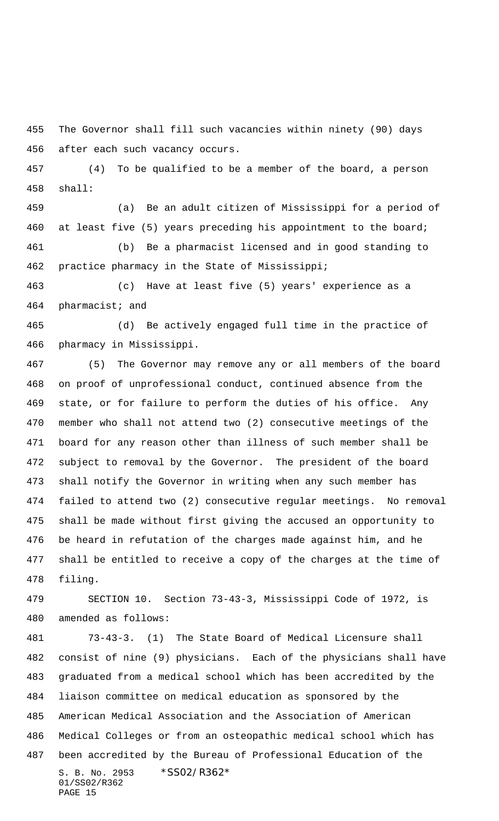The Governor shall fill such vacancies within ninety (90) days after each such vacancy occurs.

 (4) To be qualified to be a member of the board, a person shall:

 (a) Be an adult citizen of Mississippi for a period of at least five (5) years preceding his appointment to the board; (b) Be a pharmacist licensed and in good standing to practice pharmacy in the State of Mississippi;

 (c) Have at least five (5) years' experience as a pharmacist; and

 (d) Be actively engaged full time in the practice of pharmacy in Mississippi.

 (5) The Governor may remove any or all members of the board on proof of unprofessional conduct, continued absence from the state, or for failure to perform the duties of his office. Any member who shall not attend two (2) consecutive meetings of the board for any reason other than illness of such member shall be subject to removal by the Governor. The president of the board shall notify the Governor in writing when any such member has failed to attend two (2) consecutive regular meetings. No removal shall be made without first giving the accused an opportunity to be heard in refutation of the charges made against him, and he shall be entitled to receive a copy of the charges at the time of filing.

 SECTION 10. Section 73-43-3, Mississippi Code of 1972, is amended as follows:

S. B. No. 2953 \*SS02/R362\* 01/SS02/R362 PAGE 15 73-43-3. (1) The State Board of Medical Licensure shall consist of nine (9) physicians. Each of the physicians shall have graduated from a medical school which has been accredited by the liaison committee on medical education as sponsored by the American Medical Association and the Association of American Medical Colleges or from an osteopathic medical school which has been accredited by the Bureau of Professional Education of the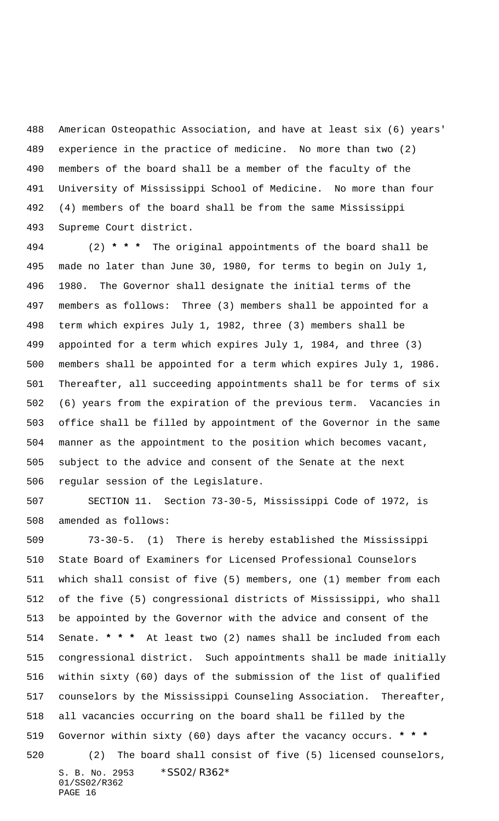American Osteopathic Association, and have at least six (6) years' experience in the practice of medicine. No more than two (2) members of the board shall be a member of the faculty of the University of Mississippi School of Medicine. No more than four (4) members of the board shall be from the same Mississippi Supreme Court district.

 (2) **\* \* \*** The original appointments of the board shall be made no later than June 30, 1980, for terms to begin on July 1, 1980. The Governor shall designate the initial terms of the members as follows: Three (3) members shall be appointed for a term which expires July 1, 1982, three (3) members shall be appointed for a term which expires July 1, 1984, and three (3) members shall be appointed for a term which expires July 1, 1986. Thereafter, all succeeding appointments shall be for terms of six (6) years from the expiration of the previous term. Vacancies in office shall be filled by appointment of the Governor in the same manner as the appointment to the position which becomes vacant, subject to the advice and consent of the Senate at the next regular session of the Legislature.

 SECTION 11. Section 73-30-5, Mississippi Code of 1972, is amended as follows:

S. B. No. 2953 \*SS02/R362\* 01/SS02/R362 PAGE 16 73-30-5. (1) There is hereby established the Mississippi State Board of Examiners for Licensed Professional Counselors which shall consist of five (5) members, one (1) member from each of the five (5) congressional districts of Mississippi, who shall be appointed by the Governor with the advice and consent of the Senate. **\* \* \*** At least two (2) names shall be included from each congressional district. Such appointments shall be made initially within sixty (60) days of the submission of the list of qualified counselors by the Mississippi Counseling Association. Thereafter, all vacancies occurring on the board shall be filled by the Governor within sixty (60) days after the vacancy occurs. **\* \* \*** (2) The board shall consist of five (5) licensed counselors,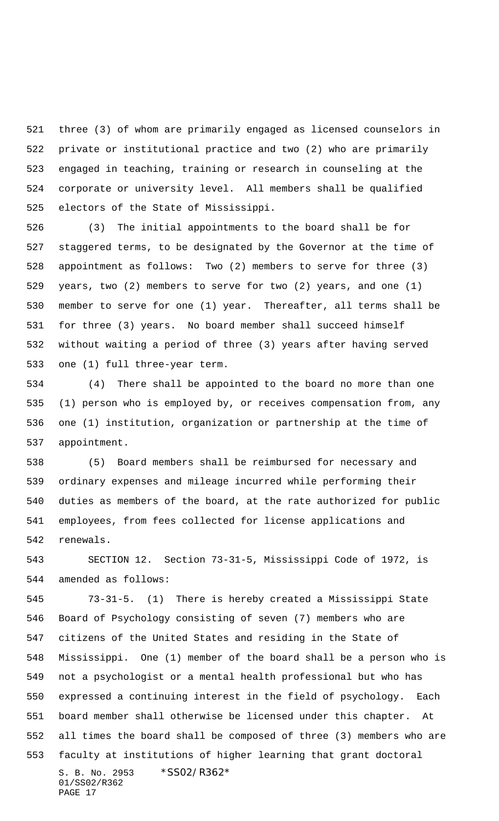three (3) of whom are primarily engaged as licensed counselors in private or institutional practice and two (2) who are primarily engaged in teaching, training or research in counseling at the corporate or university level. All members shall be qualified electors of the State of Mississippi.

 (3) The initial appointments to the board shall be for staggered terms, to be designated by the Governor at the time of appointment as follows: Two (2) members to serve for three (3) years, two (2) members to serve for two (2) years, and one (1) member to serve for one (1) year. Thereafter, all terms shall be for three (3) years. No board member shall succeed himself without waiting a period of three (3) years after having served one (1) full three-year term.

 (4) There shall be appointed to the board no more than one (1) person who is employed by, or receives compensation from, any one (1) institution, organization or partnership at the time of appointment.

 (5) Board members shall be reimbursed for necessary and ordinary expenses and mileage incurred while performing their duties as members of the board, at the rate authorized for public employees, from fees collected for license applications and renewals.

 SECTION 12. Section 73-31-5, Mississippi Code of 1972, is amended as follows:

S. B. No. 2953 \*SS02/R362\* 01/SS02/R362 PAGE 17 73-31-5. (1) There is hereby created a Mississippi State Board of Psychology consisting of seven (7) members who are citizens of the United States and residing in the State of Mississippi. One (1) member of the board shall be a person who is not a psychologist or a mental health professional but who has expressed a continuing interest in the field of psychology. Each board member shall otherwise be licensed under this chapter. At all times the board shall be composed of three (3) members who are faculty at institutions of higher learning that grant doctoral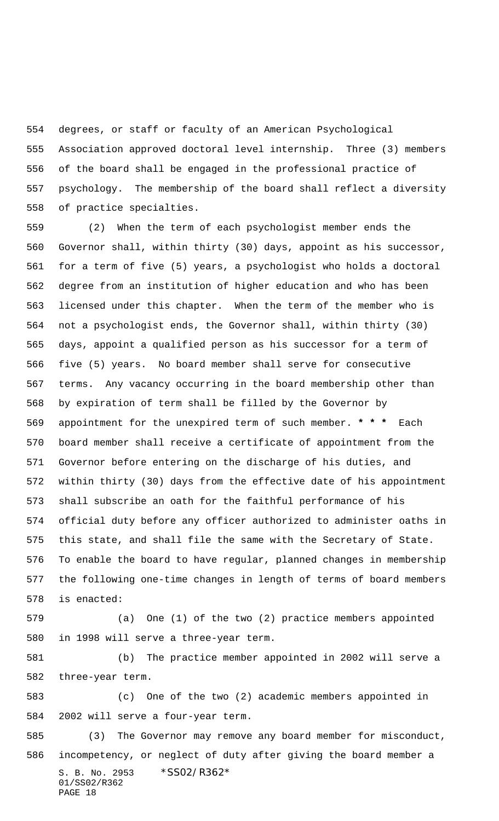degrees, or staff or faculty of an American Psychological Association approved doctoral level internship. Three (3) members of the board shall be engaged in the professional practice of psychology. The membership of the board shall reflect a diversity of practice specialties.

 (2) When the term of each psychologist member ends the Governor shall, within thirty (30) days, appoint as his successor, for a term of five (5) years, a psychologist who holds a doctoral degree from an institution of higher education and who has been licensed under this chapter. When the term of the member who is not a psychologist ends, the Governor shall, within thirty (30) days, appoint a qualified person as his successor for a term of five (5) years. No board member shall serve for consecutive terms. Any vacancy occurring in the board membership other than by expiration of term shall be filled by the Governor by appointment for the unexpired term of such member. **\* \* \*** Each board member shall receive a certificate of appointment from the Governor before entering on the discharge of his duties, and within thirty (30) days from the effective date of his appointment shall subscribe an oath for the faithful performance of his official duty before any officer authorized to administer oaths in this state, and shall file the same with the Secretary of State. To enable the board to have regular, planned changes in membership the following one-time changes in length of terms of board members is enacted:

 (a) One (1) of the two (2) practice members appointed in 1998 will serve a three-year term.

 (b) The practice member appointed in 2002 will serve a three-year term.

 (c) One of the two (2) academic members appointed in 2002 will serve a four-year term.

S. B. No. 2953 \*SS02/R362\* 01/SS02/R362 PAGE 18 (3) The Governor may remove any board member for misconduct, incompetency, or neglect of duty after giving the board member a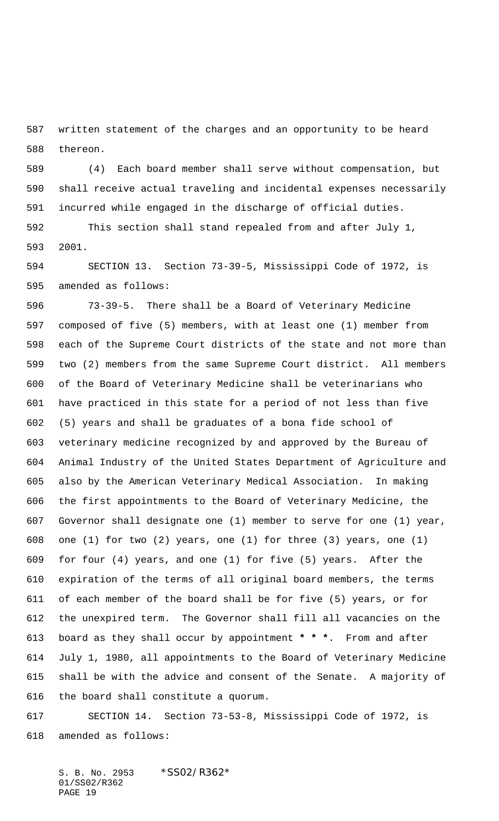written statement of the charges and an opportunity to be heard thereon.

 (4) Each board member shall serve without compensation, but shall receive actual traveling and incidental expenses necessarily incurred while engaged in the discharge of official duties.

 This section shall stand repealed from and after July 1, 2001.

 SECTION 13. Section 73-39-5, Mississippi Code of 1972, is amended as follows:

 73-39-5. There shall be a Board of Veterinary Medicine composed of five (5) members, with at least one (1) member from each of the Supreme Court districts of the state and not more than two (2) members from the same Supreme Court district. All members of the Board of Veterinary Medicine shall be veterinarians who have practiced in this state for a period of not less than five (5) years and shall be graduates of a bona fide school of veterinary medicine recognized by and approved by the Bureau of Animal Industry of the United States Department of Agriculture and also by the American Veterinary Medical Association. In making the first appointments to the Board of Veterinary Medicine, the Governor shall designate one (1) member to serve for one (1) year, one (1) for two (2) years, one (1) for three (3) years, one (1) for four (4) years, and one (1) for five (5) years. After the expiration of the terms of all original board members, the terms of each member of the board shall be for five (5) years, or for the unexpired term. The Governor shall fill all vacancies on the board as they shall occur by appointment **\* \* \***.From and after July 1, 1980, all appointments to the Board of Veterinary Medicine shall be with the advice and consent of the Senate. A majority of the board shall constitute a quorum.

 SECTION 14. Section 73-53-8, Mississippi Code of 1972, is amended as follows: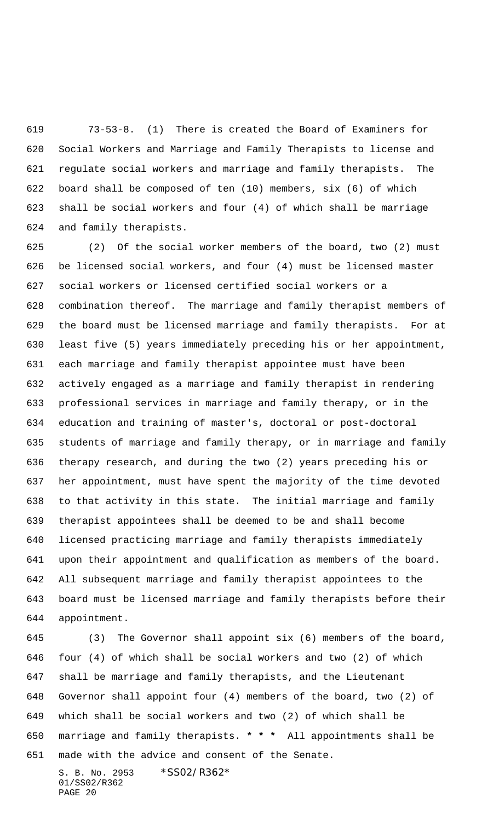73-53-8. (1) There is created the Board of Examiners for Social Workers and Marriage and Family Therapists to license and regulate social workers and marriage and family therapists. The board shall be composed of ten (10) members, six (6) of which shall be social workers and four (4) of which shall be marriage and family therapists.

 (2) Of the social worker members of the board, two (2) must be licensed social workers, and four (4) must be licensed master social workers or licensed certified social workers or a combination thereof. The marriage and family therapist members of the board must be licensed marriage and family therapists. For at least five (5) years immediately preceding his or her appointment, each marriage and family therapist appointee must have been actively engaged as a marriage and family therapist in rendering professional services in marriage and family therapy, or in the education and training of master's, doctoral or post-doctoral students of marriage and family therapy, or in marriage and family therapy research, and during the two (2) years preceding his or her appointment, must have spent the majority of the time devoted to that activity in this state. The initial marriage and family therapist appointees shall be deemed to be and shall become licensed practicing marriage and family therapists immediately upon their appointment and qualification as members of the board. All subsequent marriage and family therapist appointees to the board must be licensed marriage and family therapists before their appointment.

 (3) The Governor shall appoint six (6) members of the board, four (4) of which shall be social workers and two (2) of which shall be marriage and family therapists, and the Lieutenant Governor shall appoint four (4) members of the board, two (2) of which shall be social workers and two (2) of which shall be marriage and family therapists. **\* \* \*** All appointments shall be made with the advice and consent of the Senate.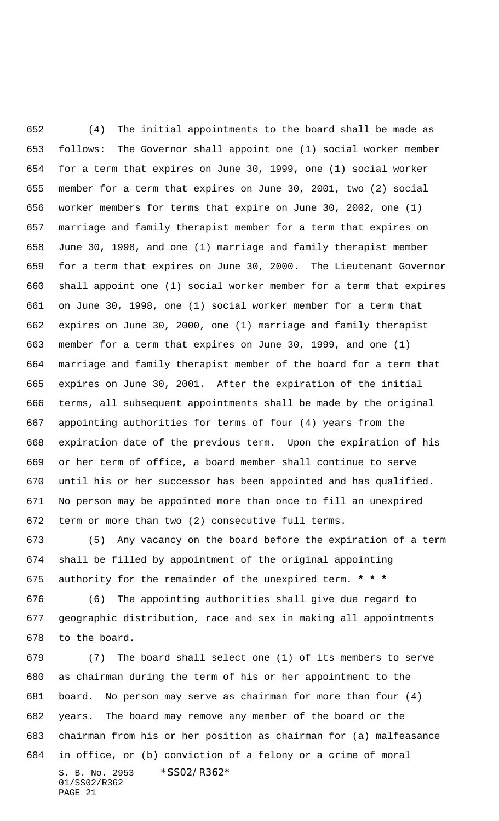(4) The initial appointments to the board shall be made as follows: The Governor shall appoint one (1) social worker member for a term that expires on June 30, 1999, one (1) social worker member for a term that expires on June 30, 2001, two (2) social worker members for terms that expire on June 30, 2002, one (1) marriage and family therapist member for a term that expires on June 30, 1998, and one (1) marriage and family therapist member for a term that expires on June 30, 2000. The Lieutenant Governor shall appoint one (1) social worker member for a term that expires on June 30, 1998, one (1) social worker member for a term that expires on June 30, 2000, one (1) marriage and family therapist member for a term that expires on June 30, 1999, and one (1) marriage and family therapist member of the board for a term that expires on June 30, 2001. After the expiration of the initial terms, all subsequent appointments shall be made by the original appointing authorities for terms of four (4) years from the expiration date of the previous term. Upon the expiration of his or her term of office, a board member shall continue to serve until his or her successor has been appointed and has qualified. No person may be appointed more than once to fill an unexpired term or more than two (2) consecutive full terms.

 (5) Any vacancy on the board before the expiration of a term shall be filled by appointment of the original appointing authority for the remainder of the unexpired term. **\* \* \***

 (6) The appointing authorities shall give due regard to geographic distribution, race and sex in making all appointments to the board.

S. B. No. 2953 \*SS02/R362\* 01/SS02/R362 PAGE 21 (7) The board shall select one (1) of its members to serve as chairman during the term of his or her appointment to the board. No person may serve as chairman for more than four (4) years. The board may remove any member of the board or the chairman from his or her position as chairman for (a) malfeasance in office, or (b) conviction of a felony or a crime of moral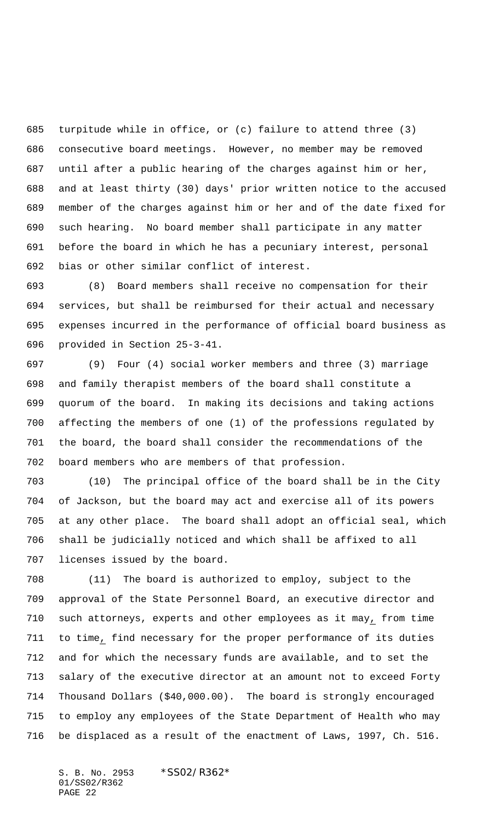turpitude while in office, or (c) failure to attend three (3) consecutive board meetings. However, no member may be removed until after a public hearing of the charges against him or her, and at least thirty (30) days' prior written notice to the accused member of the charges against him or her and of the date fixed for such hearing. No board member shall participate in any matter before the board in which he has a pecuniary interest, personal bias or other similar conflict of interest.

 (8) Board members shall receive no compensation for their services, but shall be reimbursed for their actual and necessary expenses incurred in the performance of official board business as provided in Section 25-3-41.

 (9) Four (4) social worker members and three (3) marriage and family therapist members of the board shall constitute a quorum of the board. In making its decisions and taking actions affecting the members of one (1) of the professions regulated by the board, the board shall consider the recommendations of the board members who are members of that profession.

 (10) The principal office of the board shall be in the City of Jackson, but the board may act and exercise all of its powers at any other place. The board shall adopt an official seal, which shall be judicially noticed and which shall be affixed to all licenses issued by the board.

 (11) The board is authorized to employ, subject to the approval of the State Personnel Board, an executive director and such attorneys, experts and other employees as it may, from time to time, find necessary for the proper performance of its duties and for which the necessary funds are available, and to set the salary of the executive director at an amount not to exceed Forty Thousand Dollars (\$40,000.00). The board is strongly encouraged to employ any employees of the State Department of Health who may be displaced as a result of the enactment of Laws, 1997, Ch. 516.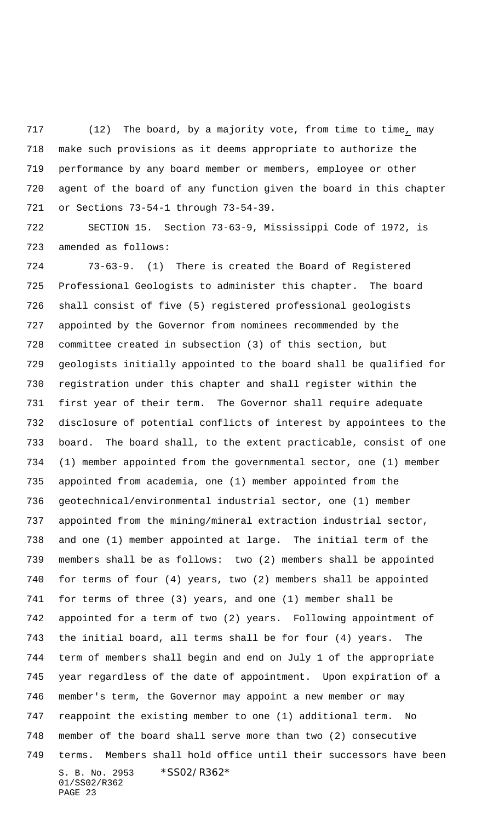717 (12) The board, by a majority vote, from time to time<sub>1</sub> may make such provisions as it deems appropriate to authorize the performance by any board member or members, employee or other agent of the board of any function given the board in this chapter or Sections 73-54-1 through 73-54-39.

 SECTION 15. Section 73-63-9, Mississippi Code of 1972, is amended as follows:

S. B. No. 2953 \*SS02/R362\* 01/SS02/R362 PAGE 23 73-63-9. (1) There is created the Board of Registered Professional Geologists to administer this chapter. The board shall consist of five (5) registered professional geologists appointed by the Governor from nominees recommended by the committee created in subsection (3) of this section, but geologists initially appointed to the board shall be qualified for registration under this chapter and shall register within the first year of their term. The Governor shall require adequate disclosure of potential conflicts of interest by appointees to the board. The board shall, to the extent practicable, consist of one (1) member appointed from the governmental sector, one (1) member appointed from academia, one (1) member appointed from the geotechnical/environmental industrial sector, one (1) member appointed from the mining/mineral extraction industrial sector, and one (1) member appointed at large. The initial term of the members shall be as follows: two (2) members shall be appointed for terms of four (4) years, two (2) members shall be appointed for terms of three (3) years, and one (1) member shall be appointed for a term of two (2) years. Following appointment of the initial board, all terms shall be for four (4) years. The term of members shall begin and end on July 1 of the appropriate year regardless of the date of appointment. Upon expiration of a member's term, the Governor may appoint a new member or may reappoint the existing member to one (1) additional term. No member of the board shall serve more than two (2) consecutive terms. Members shall hold office until their successors have been